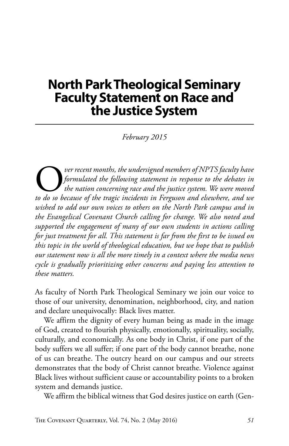## **North Park Theological Seminary Faculty Statement on Race and the Justice System**

*February 2015*

O*ver recent months, the undersigned members of NPTS faculty have to do so because of the tragic incidents in Ferguson and elsewhere, and we formulated the following statement in response to the debates in the nation concerning race and the justice system. We were moved wished to add our own voices to others on the North Park campus and in the Evangelical Covenant Church calling for change. We also noted and supported the engagement of many of our own students in actions calling for just treatment for all. This statement is far from the first to be issued on this topic in the world of theological education, but we hope that to publish our statement now is all the more timely in a context where the media news cycle is gradually prioritizing other concerns and paying less attention to these matters.*

As faculty of North Park Theological Seminary we join our voice to those of our university, denomination, neighborhood, city, and nation and declare unequivocally: Black lives matter.

We affirm the dignity of every human being as made in the image of God, created to flourish physically, emotionally, spirituality, socially, culturally, and economically. As one body in Christ, if one part of the body suffers we all suffer; if one part of the body cannot breathe, none of us can breathe. The outcry heard on our campus and our streets demonstrates that the body of Christ cannot breathe. Violence against Black lives without sufficient cause or accountability points to a broken system and demands justice.

We affirm the biblical witness that God desires justice on earth (Gen-